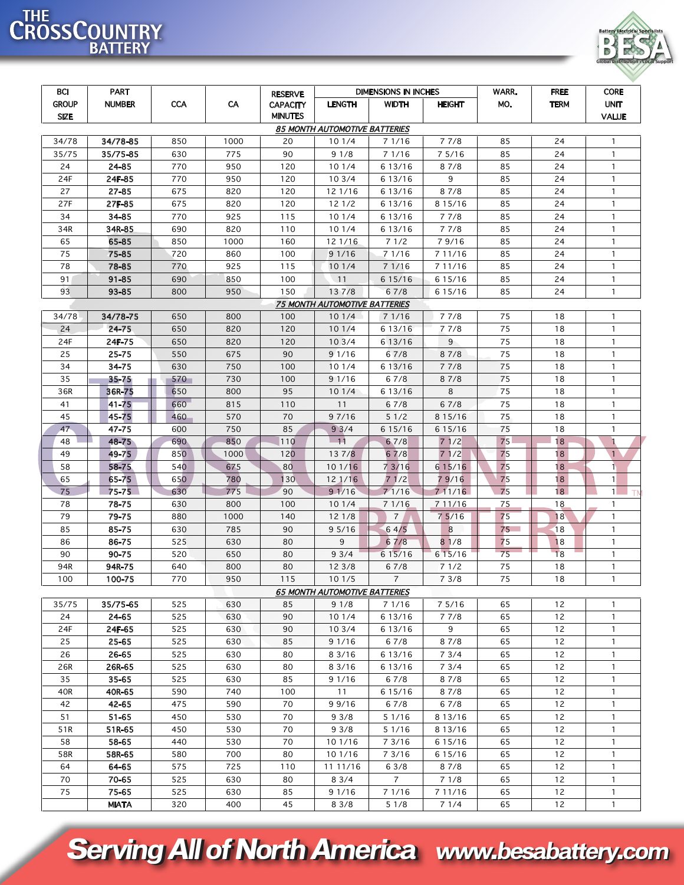## THE CROSSCOUNTRY



| <b>BCI</b>                    | <b>PART</b>   |            | <b>DIMENSIONS IN INCHES</b><br><b>RESERVE</b> |                 |                                      |                |               | WARR. | <b>FREE</b> | <b>CORE</b>  |  |
|-------------------------------|---------------|------------|-----------------------------------------------|-----------------|--------------------------------------|----------------|---------------|-------|-------------|--------------|--|
| <b>GROUP</b>                  | <b>NUMBER</b> | <b>CCA</b> | CA                                            | <b>CAPACITY</b> | <b>LENGTH</b>                        | <b>WIDTH</b>   | <b>HEIGHT</b> | MO.   | <b>TERM</b> | <b>UNIT</b>  |  |
| <b>SIZE</b>                   |               |            |                                               | <b>MINUTES</b>  |                                      |                |               |       |             | <b>VALUE</b> |  |
| 85 MONTH AUTOMOTIVE BATTERIES |               |            |                                               |                 |                                      |                |               |       |             |              |  |
| 34/78                         | 34/78-85      | 850        | 1000                                          | 20              | 101/4                                | 71/16          | 77/8          | 85    | 24          | $\mathbf{1}$ |  |
| 35/75                         | 35/75-85      | 630        | 775                                           | 90              | 91/8                                 | 7 1/16         | 75/16         | 85    | 24          | $\mathbf{1}$ |  |
| 24                            | 24-85         | 770        | 950                                           | 120             | 101/4                                | 6 13/16        | 87/8          | 85    | 24          | $\mathbf{1}$ |  |
| 24F                           | 24F-85        | 770        | 950                                           | 120             | 103/4                                | 6 13/16        | 9             | 85    | 24          | $\mathbf{1}$ |  |
| 27                            | 27-85         | 675        | 820                                           | 120             | 12 1/16                              | 6 13/16        | 87/8          | 85    | 24          | $\mathbf{1}$ |  |
| 27F                           | 27F-85        | 675        | 820                                           | 120             | 121/2                                | 6 13/16        | 8 1 5 / 1 6   | 85    | 24          | $\mathbf{1}$ |  |
| 34                            | 34-85         | 770        | 925                                           | 115             | 101/4                                | 6 13/16        | 77/8          | 85    | 24          | $\mathbf{1}$ |  |
| 34R                           | 34R-85        | 690        | 820                                           | 110             | 101/4                                | 6 13/16        | 77/8          | 85    | 24          | $\mathbf{1}$ |  |
| 65                            | 65-85         | 850        | 1000                                          | 160             | 12 1/16                              | 71/2           | 79/16         | 85    | 24          | $\mathbf{1}$ |  |
| 75                            | 75-85         | 720        | 860                                           | 100             | 9 1/16                               | 7 1/16         | 7 11/16       | 85    | 24          | $\mathbf{1}$ |  |
| 78                            | 78-85         | 770        | 925                                           | 115             | 101/4                                | 7 1/16         | 7 11/16       | 85    | 24          | $\mathbf{1}$ |  |
| 91                            | $91 - 85$     | 690        | 850                                           | 100             | 11                                   | 6 15/16        | 6 1 5 / 1 6   | 85    | 24          | $\mathbf{1}$ |  |
| 93                            | 93-85         | 800        | 950                                           | 150             | 137/8                                | 67/8           | 6 1 5 / 1 6   | 85    | 24          | $\mathbf{1}$ |  |
| 75 MONTH AUTOMOTIVE BATTERIES |               |            |                                               |                 |                                      |                |               |       |             |              |  |
| 34/78                         | 34/78-75      | 650        | 800                                           | 100             | 101/4                                | 71/16          | 77/8          | 75    | 18          | $\mathbf{1}$ |  |
| 24                            | 24-75         | 650        | 820                                           | 120             | 101/4                                | 6 13/16        | 77/8          | 75    | 18          | $\mathbf{1}$ |  |
| 24F                           | 24F-75        | 650        | 820                                           | 120             | 103/4                                | 6 13/16        | 9             | 75    | 18          | $\mathbf{1}$ |  |
| 25                            | 25-75         | 550        | 675                                           | 90              | 91/16                                | 67/8           | 87/8          | 75    | 18          | $\mathbf{1}$ |  |
| 34                            | 34-75         | 630        | 750                                           | 100             | 101/4                                | 6 13/16        | 7 7/8         | 75    | 18          | $\mathbf{1}$ |  |
| 35                            | $35 - 75$     | 570        | 730                                           | 100             | 91/16                                | 67/8           | 87/8          | 75    | 18          | $\mathbf{1}$ |  |
| 36R                           | 36R-75        | 650        | 800                                           | 95              | 101/4                                | 6 13/16        | 8             | 75    | 18          | $\mathbf{1}$ |  |
| 41                            | 41-75         | 660        | 815                                           | 110             | 11                                   | 67/8           | 67/8          | 75    | 18          | $\mathbf{1}$ |  |
| 45                            | 45-75         | 460        | 570                                           | 70              | 9 7/16                               | 51/2           | 8 1 5 / 1 6   | 75    | 18          | $\mathbf{1}$ |  |
| 47                            | 47-75         | 600        | 750                                           | 85              | 93/4                                 | 6 15/16        | 6 1 5 / 1 6   | 75    | 18          | $\mathbf{1}$ |  |
| 48                            | 48-75         | 690        | 850                                           | 110             | $-11$                                | 67/8           | 71/2          | 75    | 18          | -1           |  |
| 49                            | 49-75         | 850        | 1000                                          | 120             | 137/8                                | 67/8           | 71/2          | 75    | 18          | $\mathbf{1}$ |  |
| 58                            | 58-75         | 540        | 675                                           | 80              | 101/16                               | 7 3/16         | 6 1 5 / 1 6   | 75    | 18          | $\mathbf{1}$ |  |
| 65                            | 65-75         | 650        | 780                                           | 130             | 12 1/16                              | 71/2           | 79/16         | 75    | 18          | 1            |  |
| 75                            | 75-75         | 630        | 775                                           | 90              | 91/16                                | 71/16          | 711/16        | 75    | 18          | 1            |  |
| 78                            | 78-75         | 630        | 800                                           | 100             | 101/4                                | 71/16          | 7 11/16       | 75    | 18          | $\mathbf{1}$ |  |
| 79                            | 79-75         | 880        | 1000                                          | 140             | 121/8                                | $\overline{7}$ | 75/16         | 75    | 18          | $\mathbf{1}$ |  |
| 85                            | 85-75         | 630        | 785                                           | 90              | 95/16                                | 64/5           | 8             | 75    | 18          | $\mathbf{1}$ |  |
| 86                            | 86-75         | 525        | 630                                           | 80              | 9                                    | 67/8           | 81/8          | 75    | 18          | $\mathbf{1}$ |  |
| 90                            | 90-75         | 520        | 650                                           | 80              | 93/4                                 | 6 15/16        | 615/16        | 75    | 18          | $\mathbf{1}$ |  |
| 94R                           | 94R-75        | 640        | 800                                           | 80              | 12 3/8                               | 67/8           | 7 1/2         | 75    | 18          | $\mathbf{1}$ |  |
| 100                           | 100-75        | 770        | 950                                           | 115             | 101/5                                | $\overline{7}$ | 73/8          | 75    | 18          | $\mathbf{1}$ |  |
|                               |               |            |                                               |                 | <b>65 MONTH AUTOMOTIVE BATTERIES</b> |                |               |       |             |              |  |
| 35/75                         | 35/75-65      | 525        | 630                                           | 85              | 91/8                                 | 7 1/16         | 7 5/16        | 65    | 12          | $\mathbf{1}$ |  |
| 24                            | 24-65         | 525        | 630                                           | 90              | 101/4                                | 6 13/16        | 77/8          | 65    | 12          | $\mathbf{1}$ |  |
| 24F                           | 24F-65        | 525        | 630                                           | 90              | 103/4                                | 6 13/16        | 9             | 65    | 12          | $\mathbf{1}$ |  |
| 25                            | 25-65         | 525        | 630                                           | 85              | 9 1/16                               | 67/8           | 87/8          | 65    | 12          | $\mathbf{1}$ |  |
| 26                            | 26-65         | 525        | 630                                           | 80              | 8 3/16                               | 6 13/16        | 73/4          | 65    | 12          | $\mathbf{1}$ |  |
| 26R                           | 26R-65        | 525        | 630                                           | 80              | 8 3/16                               | 6 13/16        | 73/4          | 65    | 12          | $\mathbf{1}$ |  |
| 35                            | 35-65         | 525        | 630                                           | 85              | 9 1/16                               | 67/8           | 87/8          | 65    | 12          | $\mathbf{1}$ |  |
| 40R                           | 40R-65        | 590        | 740                                           | 100             | 11                                   | 6 15/16        | 87/8          | 65    | 12          | $\mathbf{1}$ |  |
| 42                            | 42-65         | 475        | 590                                           | 70              | 99/16                                | 67/8           | 67/8          | 65    | 12          | $\mathbf{1}$ |  |
| 51                            | 51-65         | 450        | 530                                           | 70              | 93/8                                 | 5 1/16         | 8 13/16       | 65    | 12          | $\mathbf{1}$ |  |
| 51R                           | 51R-65        | 450        | 530                                           | 70              | 93/8                                 | 5 1/16         | 8 13/16       | 65    | 12          | $\mathbf{1}$ |  |
| 58                            | 58-65         | 440        | 530                                           | 70              | 10 1/16                              | 7 3/16         | 6 1 5 / 1 6   | 65    | 12          | $\mathbf{1}$ |  |
| 58R                           | 58R-65        | 580        | 700                                           | 80              | 10 1/16                              | 7 3/16         | 6 1 5 / 1 6   | 65    | 12          | $\mathbf{1}$ |  |
| 64                            | 64-65         | 575        | 725                                           | 110             | 11 11/16                             | 63/8           | 87/8          | 65    | 12          | $\mathbf{1}$ |  |
| 70                            | 70-65         | 525        | 630                                           | 80              | 83/4                                 | $\overline{7}$ | 71/8          | 65    | 12          | $\mathbf{1}$ |  |
| 75                            | 75-65         | 525        | 630                                           | 85              | 91/16                                | 7 1/16         | 7 11/16       | 65    | 12          | $\mathbf{1}$ |  |
|                               | <b>MIATA</b>  | 320        | 400                                           | 45              | 83/8                                 | 51/8           | 71/4          | 65    | 12          | $\mathbf{1}$ |  |

**Serving All of North America www.besabattery.com**